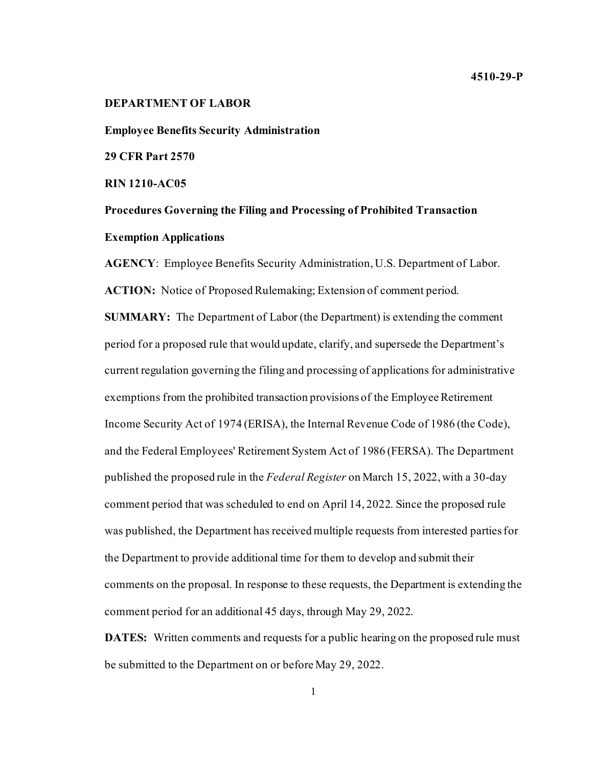**Employee Benefits Security Administration** 

**29 CFR Part 2570**

**RIN 1210-AC05**

**Procedures Governing the Filing and Processing of Prohibited Transaction Exemption Applications**

**AGENCY**: Employee Benefits Security Administration, U.S. Department of Labor. **ACTION:** Notice of Proposed Rulemaking; Extension of comment period. **SUMMARY:** The Department of Labor (the Department) is extending the comment period for a proposed rule that would update, clarify, and supersede the Department's current regulation governing the filing and processing of applications for administrative exemptions from the prohibited transaction provisions of the Employee Retirement Income Security Act of 1974 (ERISA), the Internal Revenue Code of 1986 (the Code), and the Federal Employees' Retirement System Act of 1986 (FERSA). The Department published the proposed rule in the *Federal Register* on March 15, 2022, with a 30-day comment period that was scheduled to end on April 14, 2022. Since the proposed rule was published, the Department has received multiple requests from interested parties for the Department to provide additional time for them to develop and submit their comments on the proposal. In response to these requests, the Department is extending the comment period for an additional 45 days, through May 29, 2022.

**DATES:** Written comments and requests for a public hearing on the proposed rule must be submitted to the Department on or before May 29, 2022.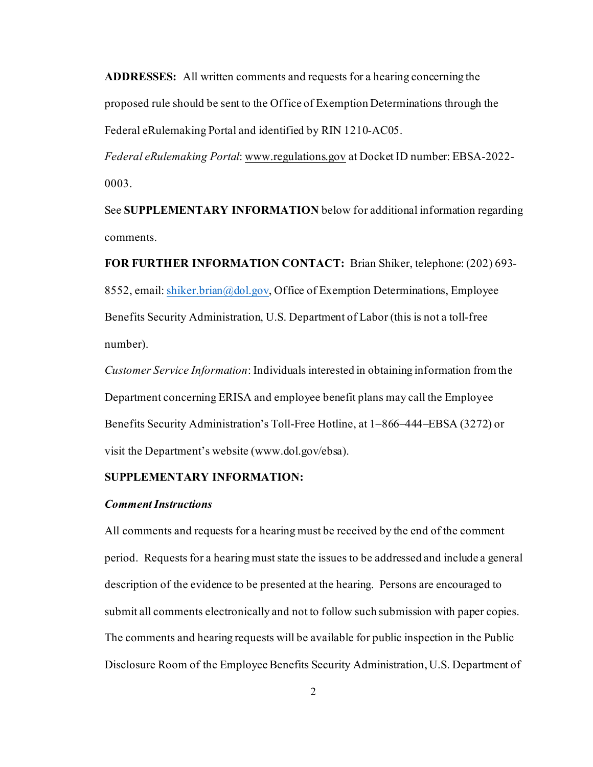**ADDRESSES:** All written comments and requests for a hearing concerning the proposed rule should be sent to the Office of Exemption Determinations through the Federal eRulemaking Portal and identified by RIN 1210-AC05.

*Federal eRulemaking Portal*: www.regulations.gov at Docket ID number: EBSA-2022- 0003.

See **SUPPLEMENTARY INFORMATION** below for additional information regarding comments.

**FOR FURTHER INFORMATION CONTACT:** Brian Shiker, telephone: (202) 693- 8552, email[: shiker.brian@dol.gov,](mailto:shiker.brian@dol.gov) Office of Exemption Determinations, Employee Benefits Security Administration, U.S. Department of Labor (this is not a toll-free number).

*Customer Service Information*: Individuals interested in obtaining information from the Department concerning ERISA and employee benefit plans may call the Employee Benefits Security Administration's Toll-Free Hotline, at 1–866–444–EBSA (3272) or visit the Department's website (www.dol.gov/ebsa).

## **SUPPLEMENTARY INFORMATION:**

## *Comment Instructions*

All comments and requests for a hearing must be received by the end of the comment period. Requests for a hearing must state the issues to be addressed and include a general description of the evidence to be presented at the hearing. Persons are encouraged to submit all comments electronically and not to follow such submission with paper copies. The comments and hearing requests will be available for public inspection in the Public Disclosure Room of the Employee Benefits Security Administration, U.S. Department of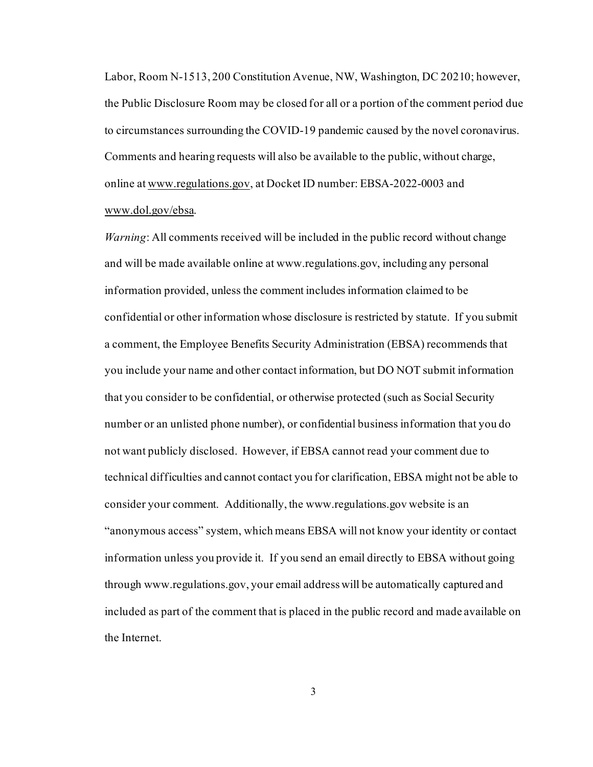Labor, Room N-1513, 200 Constitution Avenue, NW, Washington, DC 20210; however, the Public Disclosure Room may be closed for all or a portion of the comment period due to circumstances surrounding the COVID-19 pandemic caused by the novel coronavirus. Comments and hearing requests will also be available to the public, without charge, online at www.regulations.gov, at Docket ID number: EBSA-2022-0003 and www.dol.gov/ebsa.

*Warning*: All comments received will be included in the public record without change and will be made available online at www.regulations.gov, including any personal information provided, unless the comment includes information claimed to be confidential or other information whose disclosure is restricted by statute. If you submit a comment, the Employee Benefits Security Administration (EBSA) recommends that you include your name and other contact information, but DO NOT submit information that you consider to be confidential, or otherwise protected (such as Social Security number or an unlisted phone number), or confidential business information that you do not want publicly disclosed. However, if EBSA cannot read your comment due to technical difficulties and cannot contact you for clarification, EBSA might not be able to consider your comment. Additionally, the www.regulations.gov website is an "anonymous access" system, which means EBSA will not know your identity or contact information unless you provide it. If you send an email directly to EBSA without going through www.regulations.gov, your email address will be automatically captured and included as part of the comment that is placed in the public record and made available on the Internet.

3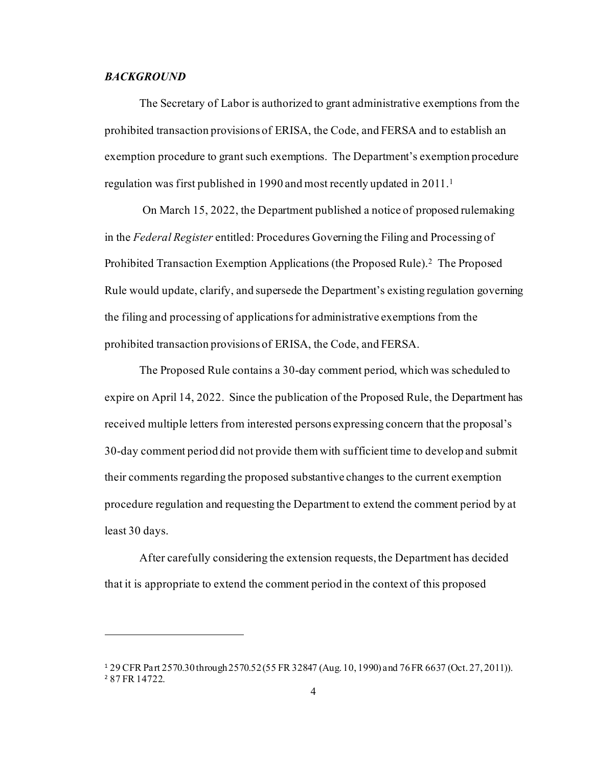## *BACKGROUND*

The Secretary of Labor is authorized to grant administrative exemptions from the prohibited transaction provisions of ERISA, the Code, and FERSA and to establish an exemption procedure to grant such exemptions. The Department's exemption procedure regulation was first published in 1990 and most recently updated in 2011.[1](#page-3-0)

On March 15, 2022, the Department published a notice of proposed rulemaking in the *Federal Register* entitled: Procedures Governing the Filing and Processing of Prohibited Transaction Exemption Applications (the Proposed Rule).<sup>2</sup> The Proposed Rule would update, clarify, and supersede the Department's existing regulation governing the filing and processing of applications for administrative exemptions from the prohibited transaction provisions of ERISA, the Code, and FERSA.

The Proposed Rule contains a 30-day comment period, which was scheduled to expire on April 14, 2022. Since the publication of the Proposed Rule, the Department has received multiple letters from interested persons expressing concern that the proposal's 30-day comment period did not provide them with sufficient time to develop and submit their comments regarding the proposed substantive changes to the current exemption procedure regulation and requesting the Department to extend the comment period by at least 30 days.

After carefully considering the extension requests, the Department has decided that it is appropriate to extend the comment period in the context of this proposed

<span id="page-3-1"></span><span id="page-3-0"></span><sup>1</sup> 29 CFR Part 2570.30 through 2570.52(55 FR 32847 (Aug. 10, 1990) and 76 FR 6637 (Oct. 27, 2011)). <sup>2</sup> 87 FR 14722.